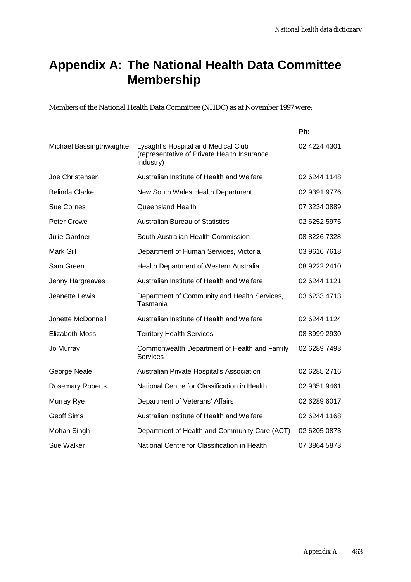### **Appendix A: The National Health Data Committee Membership**

Members of the National Health Data Committee (NHDC) as at November 1997 were:

|                          |                                                                                                 | Ph:          |
|--------------------------|-------------------------------------------------------------------------------------------------|--------------|
| Michael Bassingthwaighte | Lysaght's Hospital and Medical Club<br>(representative of Private Health Insurance<br>Industry) | 02 4224 4301 |
| Joe Christensen          | Australian Institute of Health and Welfare                                                      | 02 6244 1148 |
| <b>Belinda Clarke</b>    | New South Wales Health Department                                                               | 02 9391 9776 |
| <b>Sue Cornes</b>        | Queensland Health                                                                               | 07 3234 0889 |
| <b>Peter Crowe</b>       | <b>Australian Bureau of Statistics</b>                                                          | 02 6252 5975 |
| Julie Gardner            | South Australian Health Commission                                                              | 08 8226 7328 |
| Mark Gill                | Department of Human Services, Victoria                                                          | 03 9616 7618 |
| Sam Green                | Health Department of Western Australia                                                          | 08 9222 2410 |
| Jenny Hargreaves         | Australian Institute of Health and Welfare                                                      | 02 6244 1121 |
| Jeanette Lewis           | Department of Community and Health Services,<br>Tasmania                                        | 03 6233 4713 |
| Jonette McDonnell        | Australian Institute of Health and Welfare                                                      | 02 6244 1124 |
| <b>Elizabeth Moss</b>    | <b>Territory Health Services</b>                                                                | 08 8999 2930 |
| Jo Murray                | Commonwealth Department of Health and Family<br><b>Services</b>                                 | 02 6289 7493 |
| George Neale             | Australian Private Hospital's Association                                                       | 02 6285 2716 |
| <b>Rosemary Roberts</b>  | National Centre for Classification in Health                                                    | 02 9351 9461 |
| Murray Rye               | Department of Veterans' Affairs                                                                 | 02 6289 6017 |
| <b>Geoff Sims</b>        | Australian Institute of Health and Welfare                                                      | 02 6244 1168 |
| Mohan Singh              | Department of Health and Community Care (ACT)                                                   | 02 6205 0873 |
| Sue Walker               | National Centre for Classification in Health                                                    | 07 3864 5873 |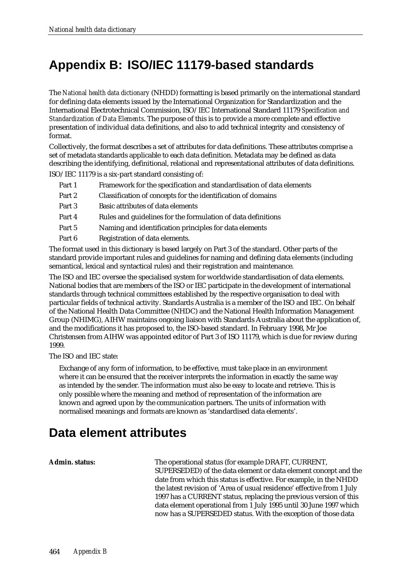### **Appendix B: ISO/IEC 11179-based standards**

The *National health data dictionary* (NHDD) formatting is based primarily on the international standard for defining data elements issued by the International Organization for Standardization and the International Electrotechnical Commission, ISO/IEC International Standard 11179 *Specification and Standardization of Data Elements*. The purpose of this is to provide a more complete and effective presentation of individual data definitions, and also to add technical integrity and consistency of format.

Collectively, the format describes a set of attributes for data definitions. These attributes comprise a set of metadata standards applicable to each data definition. Metadata may be defined as data describing the identifying, definitional, relational and representational attributes of data definitions.

ISO/IEC 11179 is a six-part standard consisting of:

- Part 1 Framework for the specification and standardisation of data elements
- Part 2 Classification of concepts for the identification of domains
- Part 3 Basic attributes of data elements
- Part 4 Rules and guidelines for the formulation of data definitions
- Part 5 Naming and identification principles for data elements
- Part 6 Registration of data elements.

The format used in this dictionary is based largely on Part 3 of the standard. Other parts of the standard provide important rules and guidelines for naming and defining data elements (including semantical, lexical and syntactical rules) and their registration and maintenance.

The ISO and IEC oversee the specialised system for worldwide standardisation of data elements. National bodies that are members of the ISO or IEC participate in the development of international standards through technical committees established by the respective organisation to deal with particular fields of technical activity. Standards Australia is a member of the ISO and IEC. On behalf of the National Health Data Committee (NHDC) and the National Health Information Management Group (NHIMG), AIHW maintains ongoing liaison with Standards Australia about the application of, and the modifications it has proposed to, the ISO-based standard. In February 1998, Mr Joe Christensen from AIHW was appointed editor of Part 3 of ISO 11179, which is due for review during 1999.

The ISO and IEC state:

Exchange of any form of information, to be effective, must take place in an environment where it can be ensured that the receiver interprets the information in exactly the same way as intended by the sender. The information must also be easy to locate and retrieve. This is only possible where the meaning and method of representation of the information are known and agreed upon by the communication partners. The units of information with normalised meanings and formats are known as 'standardised data elements'.

### **Data element attributes**

**Admin. status:** The operational status (for example DRAFT, CURRENT, SUPERSEDED) of the data element or data element concept and the date from which this status is effective. For example, in the NHDD the latest revision of 'Area of usual residence' effective from 1 July 1997 has a CURRENT status, replacing the previous version of this data element operational from 1 July 1995 until 30 June 1997 which now has a SUPERSEDED status. With the exception of those data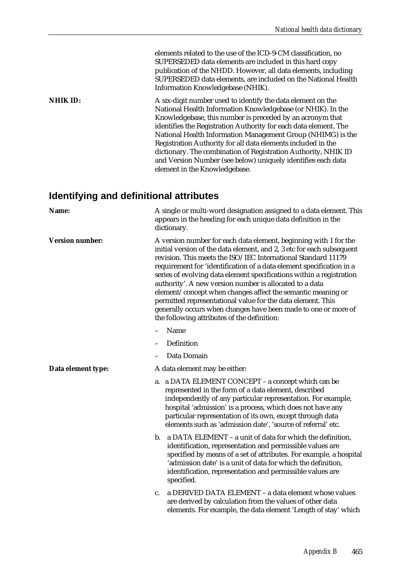elements related to the use of the ICD-9-CM classification, no SUPERSEDED data elements are included in this hard copy publication of the NHDD. However, all data elements, including SUPERSEDED data elements, are included on the National Health Information Knowledgebase (NHIK). **NHIK ID:** A six-digit number used to identify the data element on the National Health Information Knowledgebase (or NHIK). In the Knowledgebase, this number is preceded by an acronym that identifies the Registration Authority for each data element. The National Health Information Management Group (NHIMG) is the Registration Authority for all data elements included in the dictionary. The combination of Registration Authority, NHIK ID and Version Number (see below) uniquely identifies each data element in the Knowledgebase.

### **Identifying and definitional attributes**

| Name:                  | A single or multi-word designation assigned to a data element. This<br>appears in the heading for each unique data definition in the<br>dictionary.                                                                                                                                                                                                                                                                                                                                                                                                                                                                                                                  |  |
|------------------------|----------------------------------------------------------------------------------------------------------------------------------------------------------------------------------------------------------------------------------------------------------------------------------------------------------------------------------------------------------------------------------------------------------------------------------------------------------------------------------------------------------------------------------------------------------------------------------------------------------------------------------------------------------------------|--|
| <b>Version number:</b> | A version number for each data element, beginning with 1 for the<br>initial version of the data element, and 2, 3 etc for each subsequent<br>revision. This meets the ISO/IEC International Standard 11179<br>requirement for 'identification of a data element specification in a<br>series of evolving data element specifications within a registration<br>authority'. A new version number is allocated to a data<br>element/concept when changes affect the semantic meaning or<br>permitted representational value for the data element. This<br>generally occurs when changes have been made to one or more of<br>the following attributes of the definition: |  |
|                        | Name                                                                                                                                                                                                                                                                                                                                                                                                                                                                                                                                                                                                                                                                 |  |
|                        | Definition                                                                                                                                                                                                                                                                                                                                                                                                                                                                                                                                                                                                                                                           |  |
|                        | Data Domain                                                                                                                                                                                                                                                                                                                                                                                                                                                                                                                                                                                                                                                          |  |
| Data element type:     | A data element may be either:                                                                                                                                                                                                                                                                                                                                                                                                                                                                                                                                                                                                                                        |  |
|                        | a. a DATA ELEMENT CONCEPT – a concept which can be<br>represented in the form of a data element, described<br>independently of any particular representation. For example,<br>hospital 'admission' is a process, which does not have any<br>particular representation of its own, except through data<br>elements such as 'admission date', 'source of referral' etc.                                                                                                                                                                                                                                                                                                |  |
|                        | a DATA ELEMENT - a unit of data for which the definition,<br>b.<br>identification, representation and permissible values are<br>specified by means of a set of attributes. For example, a hospital<br>'admission date' is a unit of data for which the definition,<br>identification, representation and permissible values are<br>specified.                                                                                                                                                                                                                                                                                                                        |  |
|                        | a DERIVED DATA ELEMENT - a data element whose values<br>c.<br>are derived by calculation from the values of other data<br>elements. For example, the data element 'Length of stay' which                                                                                                                                                                                                                                                                                                                                                                                                                                                                             |  |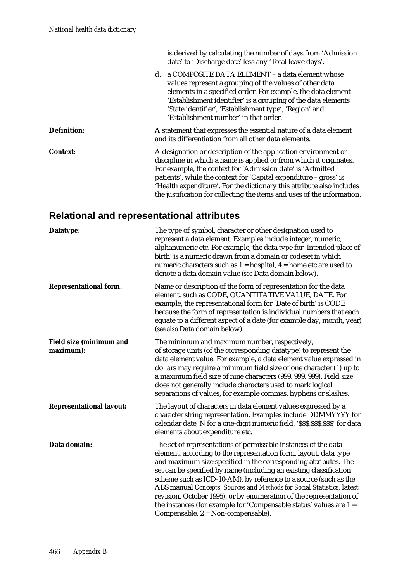|                    | is derived by calculating the number of days from 'Admission<br>date' to 'Discharge date' less any 'Total leave days'.                                                                                                                                                                                                                                                                                                      |
|--------------------|-----------------------------------------------------------------------------------------------------------------------------------------------------------------------------------------------------------------------------------------------------------------------------------------------------------------------------------------------------------------------------------------------------------------------------|
|                    | a COMPOSITE DATA ELEMENT - a data element whose<br>d.<br>values represent a grouping of the values of other data<br>elements in a specified order. For example, the data element<br>'Establishment identifier' is a grouping of the data elements<br>'State identifier', 'Establishment type', 'Region' and<br>'Establishment number' in that order.                                                                        |
| <b>Definition:</b> | A statement that expresses the essential nature of a data element<br>and its differentiation from all other data elements.                                                                                                                                                                                                                                                                                                  |
| <b>Context:</b>    | A designation or description of the application environment or<br>discipline in which a name is applied or from which it originates.<br>For example, the context for 'Admission date' is 'Admitted<br>patients', while the context for 'Capital expenditure - gross' is<br>'Health expenditure'. For the dictionary this attribute also includes<br>the justification for collecting the items and uses of the information. |

### **Relational and representational attributes**

| Datatype:                                   | The type of symbol, character or other designation used to<br>represent a data element. Examples include integer, numeric,<br>alphanumeric etc. For example, the data type for 'Intended place of<br>birth' is a numeric drawn from a domain or codeset in which<br>numeric characters such as $1 =$ hospital, $4 =$ home etc are used to<br>denote a data domain value (see Data domain below).                                                                                                                                                                                                                |
|---------------------------------------------|-----------------------------------------------------------------------------------------------------------------------------------------------------------------------------------------------------------------------------------------------------------------------------------------------------------------------------------------------------------------------------------------------------------------------------------------------------------------------------------------------------------------------------------------------------------------------------------------------------------------|
| <b>Representational form:</b>               | Name or description of the form of representation for the data<br>element, such as CODE, QUANTITATIVE VALUE, DATE. For<br>example, the representational form for 'Date of birth' is CODE<br>because the form of representation is individual numbers that each<br>equate to a different aspect of a date (for example day, month, year)<br>(see also Data domain below).                                                                                                                                                                                                                                        |
| <b>Field size (minimum and</b><br>maximum): | The minimum and maximum number, respectively,<br>of storage units (of the corresponding datatype) to represent the<br>data element value. For example, a data element value expressed in<br>dollars may require a minimum field size of one character (1) up to<br>a maximum field size of nine characters (999, 999, 999). Field size<br>does not generally include characters used to mark logical<br>separations of values, for example commas, hyphens or slashes.                                                                                                                                          |
| <b>Representational layout:</b>             | The layout of characters in data element values expressed by a<br>character string representation. Examples include DDMMYYYY for<br>calendar date, N for a one-digit numeric field, '\$\$\$,\$\$\$,\$\$\$' for data<br>elements about expenditure etc.                                                                                                                                                                                                                                                                                                                                                          |
| Data domain:                                | The set of representations of permissible instances of the data<br>element, according to the representation form, layout, data type<br>and maximum size specified in the corresponding attributes. The<br>set can be specified by name (including an existing classification<br>scheme such as ICD-10-AM), by reference to a source (such as the<br>ABS manual Concepts, Sources and Methods for Social Statistics, latest<br>revision, October 1995), or by enumeration of the representation of<br>the instances (for example for 'Compensable status' values are $1 =$<br>Compensable, 2 = Non-compensable). |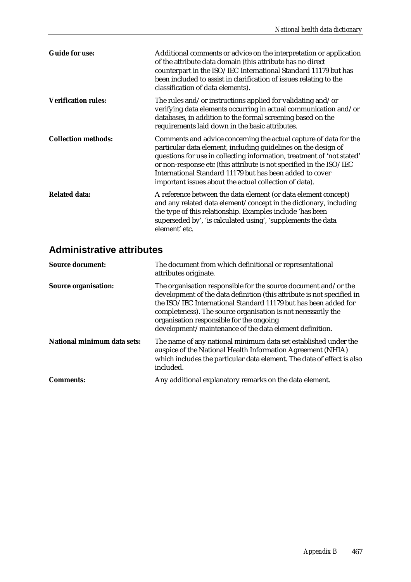| <b>Guide for use:</b>      | Additional comments or advice on the interpretation or application<br>of the attribute data domain (this attribute has no direct<br>counterpart in the ISO/IEC International Standard 11179 but has<br>been included to assist in clarification of issues relating to the<br>classification of data elements).                                                                                             |
|----------------------------|------------------------------------------------------------------------------------------------------------------------------------------------------------------------------------------------------------------------------------------------------------------------------------------------------------------------------------------------------------------------------------------------------------|
| <b>Verification rules:</b> | The rules and/or instructions applied for validating and/or<br>verifying data elements occurring in actual communication and/or<br>databases, in addition to the formal screening based on the<br>requirements laid down in the basic attributes.                                                                                                                                                          |
| <b>Collection methods:</b> | Comments and advice concerning the actual capture of data for the<br>particular data element, including guidelines on the design of<br>questions for use in collecting information, treatment of 'not stated'<br>or non-response etc (this attribute is not specified in the ISO/IEC<br>International Standard 11179 but has been added to cover<br>important issues about the actual collection of data). |
| <b>Related data:</b>       | A reference between the data element (or data element concept)<br>and any related data element/concept in the dictionary, including<br>the type of this relationship. Examples include 'has been<br>superseded by', 'is calculated using', 'supplements the data<br>element' etc.                                                                                                                          |

### **Administrative attributes**

| <b>Source organisation:</b><br>completeness). The source organisation is not necessarily the<br>organisation responsible for the ongoing<br>development/maintenance of the data element definition.<br>National minimum data sets:<br>auspice of the National Health Information Agreement (NHIA)<br>included.<br>Any additional explanatory remarks on the data element.<br><b>Comments:</b> | <b>Source document:</b> | The document from which definitional or representational<br>attributes originate.                                                                                                                            |
|-----------------------------------------------------------------------------------------------------------------------------------------------------------------------------------------------------------------------------------------------------------------------------------------------------------------------------------------------------------------------------------------------|-------------------------|--------------------------------------------------------------------------------------------------------------------------------------------------------------------------------------------------------------|
|                                                                                                                                                                                                                                                                                                                                                                                               |                         | The organisation responsible for the source document and/or the<br>development of the data definition (this attribute is not specified in<br>the ISO/IEC International Standard 11179 but has been added for |
|                                                                                                                                                                                                                                                                                                                                                                                               |                         | The name of any national minimum data set established under the<br>which includes the particular data element. The date of effect is also                                                                    |
|                                                                                                                                                                                                                                                                                                                                                                                               |                         |                                                                                                                                                                                                              |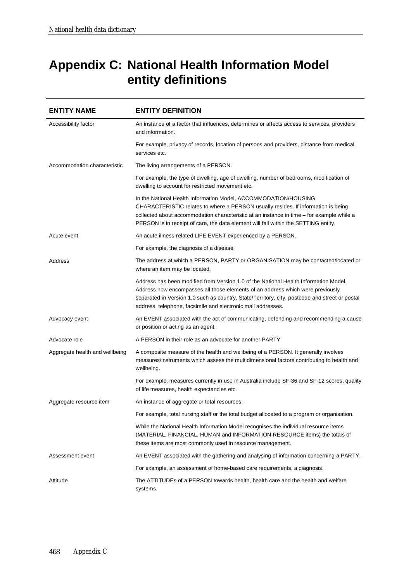# **Appendix C: National Health Information Model entity definitions**

| <b>ENTITY NAME</b>             | <b>ENTITY DEFINITION</b>                                                                                                                                                                                                                                                                                                                 |
|--------------------------------|------------------------------------------------------------------------------------------------------------------------------------------------------------------------------------------------------------------------------------------------------------------------------------------------------------------------------------------|
| Accessibility factor           | An instance of a factor that influences, determines or affects access to services, providers<br>and information.                                                                                                                                                                                                                         |
|                                | For example, privacy of records, location of persons and providers, distance from medical<br>services etc.                                                                                                                                                                                                                               |
| Accommodation characteristic   | The living arrangements of a PERSON.                                                                                                                                                                                                                                                                                                     |
|                                | For example, the type of dwelling, age of dwelling, number of bedrooms, modification of<br>dwelling to account for restricted movement etc.                                                                                                                                                                                              |
|                                | In the National Health Information Model, ACCOMMODATION/HOUSING<br>CHARACTERISTIC relates to where a PERSON usually resides. If information is being<br>collected about accommodation characteristic at an instance in time – for example while a<br>PERSON is in receipt of care, the data element will fall within the SETTING entity. |
| Acute event                    | An acute illness-related LIFE EVENT experienced by a PERSON.                                                                                                                                                                                                                                                                             |
|                                | For example, the diagnosis of a disease.                                                                                                                                                                                                                                                                                                 |
| Address                        | The address at which a PERSON, PARTY or ORGANISATION may be contacted/located or<br>where an item may be located.                                                                                                                                                                                                                        |
|                                | Address has been modified from Version 1.0 of the National Health Information Model.<br>Address now encompasses all those elements of an address which were previously<br>separated in Version 1.0 such as country, State/Territory, city, postcode and street or postal<br>address, telephone, facsimile and electronic mail addresses. |
| Advocacy event                 | An EVENT associated with the act of communicating, defending and recommending a cause<br>or position or acting as an agent.                                                                                                                                                                                                              |
| Advocate role                  | A PERSON in their role as an advocate for another PARTY.                                                                                                                                                                                                                                                                                 |
| Aggregate health and wellbeing | A composite measure of the health and wellbeing of a PERSON. It generally involves<br>measures/instruments which assess the multidimensional factors contributing to health and<br>wellbeing.                                                                                                                                            |
|                                | For example, measures currently in use in Australia include SF-36 and SF-12 scores, quality<br>of life measures, health expectancies etc.                                                                                                                                                                                                |
| Aggregate resource item        | An instance of aggregate or total resources.                                                                                                                                                                                                                                                                                             |
|                                | For example, total nursing staff or the total budget allocated to a program or organisation.                                                                                                                                                                                                                                             |
|                                | While the National Health Information Model recognises the individual resource items<br>(MATERIAL, FINANCIAL, HUMAN and INFORMATION RESOURCE items) the totals of<br>these items are most commonly used in resource management.                                                                                                          |
| Assessment event               | An EVENT associated with the gathering and analysing of information concerning a PARTY.                                                                                                                                                                                                                                                  |
|                                | For example, an assessment of home-based care requirements, a diagnosis.                                                                                                                                                                                                                                                                 |
| Attitude                       | The ATTITUDEs of a PERSON towards health, health care and the health and welfare<br>systems.                                                                                                                                                                                                                                             |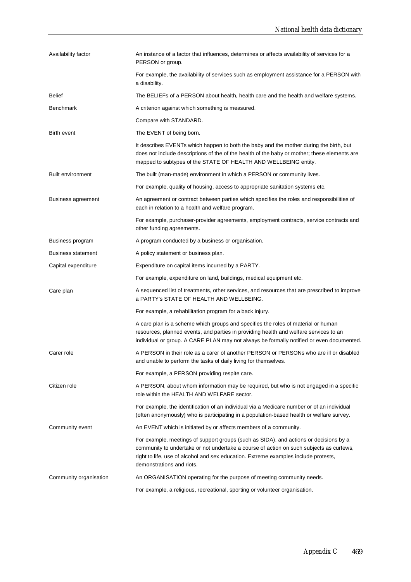| Availability factor       | An instance of a factor that influences, determines or affects availability of services for a<br>PERSON or group.                                                                                                                                                                                    |
|---------------------------|------------------------------------------------------------------------------------------------------------------------------------------------------------------------------------------------------------------------------------------------------------------------------------------------------|
|                           | For example, the availability of services such as employment assistance for a PERSON with<br>a disability.                                                                                                                                                                                           |
| Belief                    | The BELIEFs of a PERSON about health, health care and the health and welfare systems.                                                                                                                                                                                                                |
| <b>Benchmark</b>          | A criterion against which something is measured.                                                                                                                                                                                                                                                     |
|                           | Compare with STANDARD.                                                                                                                                                                                                                                                                               |
| Birth event               | The EVENT of being born.                                                                                                                                                                                                                                                                             |
|                           | It describes EVENTs which happen to both the baby and the mother during the birth, but<br>does not include descriptions of the of the health of the baby or mother; these elements are<br>mapped to subtypes of the STATE OF HEALTH AND WELLBEING entity.                                            |
| <b>Built environment</b>  | The built (man-made) environment in which a PERSON or community lives.                                                                                                                                                                                                                               |
|                           | For example, quality of housing, access to appropriate sanitation systems etc.                                                                                                                                                                                                                       |
| Business agreement        | An agreement or contract between parties which specifies the roles and responsibilities of<br>each in relation to a health and welfare program.                                                                                                                                                      |
|                           | For example, purchaser-provider agreements, employment contracts, service contracts and<br>other funding agreements.                                                                                                                                                                                 |
| Business program          | A program conducted by a business or organisation.                                                                                                                                                                                                                                                   |
| <b>Business statement</b> | A policy statement or business plan.                                                                                                                                                                                                                                                                 |
| Capital expenditure       | Expenditure on capital items incurred by a PARTY.                                                                                                                                                                                                                                                    |
|                           | For example, expenditure on land, buildings, medical equipment etc.                                                                                                                                                                                                                                  |
| Care plan                 | A sequenced list of treatments, other services, and resources that are prescribed to improve<br>a PARTY's STATE OF HEALTH AND WELLBEING.                                                                                                                                                             |
|                           | For example, a rehabilitation program for a back injury.                                                                                                                                                                                                                                             |
|                           | A care plan is a scheme which groups and specifies the roles of material or human<br>resources, planned events, and parties in providing health and welfare services to an<br>individual or group. A CARE PLAN may not always be formally notified or even documented.                               |
| Carer role                | A PERSON in their role as a carer of another PERSON or PERSONs who are ill or disabled<br>and unable to perform the tasks of daily living for themselves.                                                                                                                                            |
|                           | For example, a PERSON providing respite care.                                                                                                                                                                                                                                                        |
| Citizen role              | A PERSON, about whom information may be required, but who is not engaged in a specific<br>role within the HEALTH AND WELFARE sector.                                                                                                                                                                 |
|                           | For example, the identification of an individual via a Medicare number or of an individual<br>(often anonymously) who is participating in a population-based health or welfare survey.                                                                                                               |
| Community event           | An EVENT which is initiated by or affects members of a community.                                                                                                                                                                                                                                    |
|                           | For example, meetings of support groups (such as SIDA), and actions or decisions by a<br>community to undertake or not undertake a course of action on such subjects as curfews,<br>right to life, use of alcohol and sex education. Extreme examples include protests,<br>demonstrations and riots. |
| Community organisation    | An ORGANISATION operating for the purpose of meeting community needs.                                                                                                                                                                                                                                |
|                           | For example, a religious, recreational, sporting or volunteer organisation.                                                                                                                                                                                                                          |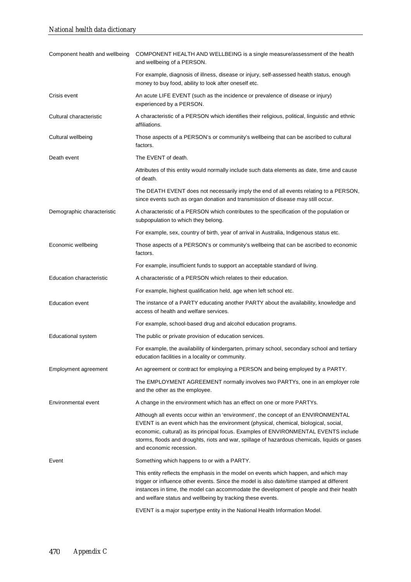| Component health and wellbeing  | COMPONENT HEALTH AND WELLBEING is a single measure/assessment of the health<br>and wellbeing of a PERSON.                                                                                                                                                                                                                                                                                      |
|---------------------------------|------------------------------------------------------------------------------------------------------------------------------------------------------------------------------------------------------------------------------------------------------------------------------------------------------------------------------------------------------------------------------------------------|
|                                 | For example, diagnosis of illness, disease or injury, self-assessed health status, enough<br>money to buy food, ability to look after oneself etc.                                                                                                                                                                                                                                             |
| Crisis event                    | An acute LIFE EVENT (such as the incidence or prevalence of disease or injury)<br>experienced by a PERSON.                                                                                                                                                                                                                                                                                     |
| Cultural characteristic         | A characteristic of a PERSON which identifies their religious, political, linguistic and ethnic<br>affiliations.                                                                                                                                                                                                                                                                               |
| Cultural wellbeing              | Those aspects of a PERSON's or community's wellbeing that can be ascribed to cultural<br>factors.                                                                                                                                                                                                                                                                                              |
| Death event                     | The EVENT of death.                                                                                                                                                                                                                                                                                                                                                                            |
|                                 | Attributes of this entity would normally include such data elements as date, time and cause<br>of death.                                                                                                                                                                                                                                                                                       |
|                                 | The DEATH EVENT does not necessarily imply the end of all events relating to a PERSON,<br>since events such as organ donation and transmission of disease may still occur.                                                                                                                                                                                                                     |
| Demographic characteristic      | A characteristic of a PERSON which contributes to the specification of the population or<br>subpopulation to which they belong.                                                                                                                                                                                                                                                                |
|                                 | For example, sex, country of birth, year of arrival in Australia, Indigenous status etc.                                                                                                                                                                                                                                                                                                       |
| Economic wellbeing              | Those aspects of a PERSON's or community's wellbeing that can be ascribed to economic<br>factors.                                                                                                                                                                                                                                                                                              |
|                                 | For example, insufficient funds to support an acceptable standard of living.                                                                                                                                                                                                                                                                                                                   |
| <b>Education characteristic</b> | A characteristic of a PERSON which relates to their education.                                                                                                                                                                                                                                                                                                                                 |
|                                 | For example, highest qualification held, age when left school etc.                                                                                                                                                                                                                                                                                                                             |
| <b>Education event</b>          | The instance of a PARTY educating another PARTY about the availability, knowledge and<br>access of health and welfare services.                                                                                                                                                                                                                                                                |
|                                 | For example, school-based drug and alcohol education programs.                                                                                                                                                                                                                                                                                                                                 |
| Educational system              | The public or private provision of education services.                                                                                                                                                                                                                                                                                                                                         |
|                                 | For example, the availability of kindergarten, primary school, secondary school and tertiary<br>education facilities in a locality or community.                                                                                                                                                                                                                                               |
| Employment agreement            | An agreement or contract for employing a PERSON and being employed by a PARTY.                                                                                                                                                                                                                                                                                                                 |
|                                 | The EMPLOYMENT AGREEMENT normally involves two PARTYs, one in an employer role<br>and the other as the employee.                                                                                                                                                                                                                                                                               |
| Environmental event             | A change in the environment which has an effect on one or more PARTYs.                                                                                                                                                                                                                                                                                                                         |
|                                 | Although all events occur within an 'environment', the concept of an ENVIRONMENTAL<br>EVENT is an event which has the environment (physical, chemical, biological, social,<br>economic, cultural) as its principal focus. Examples of ENVIRONMENTAL EVENTS include<br>storms, floods and droughts, riots and war, spillage of hazardous chemicals, liquids or gases<br>and economic recession. |
| Event                           | Something which happens to or with a PARTY.                                                                                                                                                                                                                                                                                                                                                    |
|                                 | This entity reflects the emphasis in the model on events which happen, and which may<br>trigger or influence other events. Since the model is also date/time stamped at different<br>instances in time, the model can accommodate the development of people and their health<br>and welfare status and wellbeing by tracking these events.                                                     |
|                                 | EVENT is a major supertype entity in the National Health Information Model.                                                                                                                                                                                                                                                                                                                    |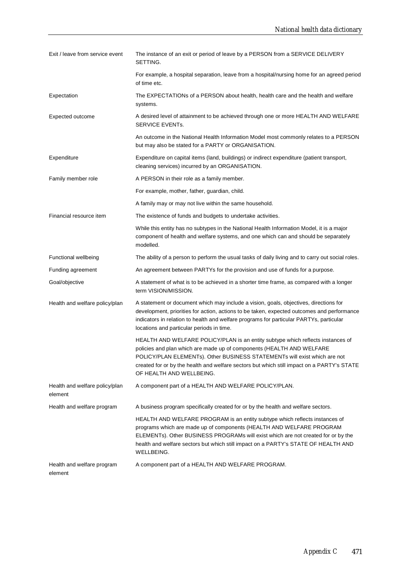| Exit / leave from service event           | The instance of an exit or period of leave by a PERSON from a SERVICE DELIVERY<br>SETTING.                                                                                                                                                                                                                                                                      |
|-------------------------------------------|-----------------------------------------------------------------------------------------------------------------------------------------------------------------------------------------------------------------------------------------------------------------------------------------------------------------------------------------------------------------|
|                                           | For example, a hospital separation, leave from a hospital/nursing home for an agreed period<br>of time etc.                                                                                                                                                                                                                                                     |
| Expectation                               | The EXPECTATIONs of a PERSON about health, health care and the health and welfare<br>systems.                                                                                                                                                                                                                                                                   |
| Expected outcome                          | A desired level of attainment to be achieved through one or more HEALTH AND WELFARE<br>SERVICE EVENTs.                                                                                                                                                                                                                                                          |
|                                           | An outcome in the National Health Information Model most commonly relates to a PERSON<br>but may also be stated for a PARTY or ORGANISATION.                                                                                                                                                                                                                    |
| Expenditure                               | Expenditure on capital items (land, buildings) or indirect expenditure (patient transport,<br>cleaning services) incurred by an ORGANISATION.                                                                                                                                                                                                                   |
| Family member role                        | A PERSON in their role as a family member.                                                                                                                                                                                                                                                                                                                      |
|                                           | For example, mother, father, guardian, child.                                                                                                                                                                                                                                                                                                                   |
|                                           | A family may or may not live within the same household.                                                                                                                                                                                                                                                                                                         |
| Financial resource item                   | The existence of funds and budgets to undertake activities.                                                                                                                                                                                                                                                                                                     |
|                                           | While this entity has no subtypes in the National Health Information Model, it is a major<br>component of health and welfare systems, and one which can and should be separately<br>modelled.                                                                                                                                                                   |
| Functional wellbeing                      | The ability of a person to perform the usual tasks of daily living and to carry out social roles.                                                                                                                                                                                                                                                               |
| Funding agreement                         | An agreement between PARTYs for the provision and use of funds for a purpose.                                                                                                                                                                                                                                                                                   |
| Goal/objective                            | A statement of what is to be achieved in a shorter time frame, as compared with a longer<br>term VISION/MISSION.                                                                                                                                                                                                                                                |
| Health and welfare policy/plan            | A statement or document which may include a vision, goals, objectives, directions for<br>development, priorities for action, actions to be taken, expected outcomes and performance<br>indicators in relation to health and welfare programs for particular PARTYs, particular<br>locations and particular periods in time.                                     |
|                                           | HEALTH AND WELFARE POLICY/PLAN is an entity subtype which reflects instances of<br>policies and plan which are made up of components (HEALTH AND WELFARE<br>POLICY/PLAN ELEMENTs). Other BUSINESS STATEMENTs will exist which are not<br>created for or by the health and welfare sectors but which still impact on a PARTY's STATE<br>OF HEALTH AND WELLBEING. |
| Health and welfare policy/plan<br>element | A component part of a HEALTH AND WELFARE POLICY/PLAN.                                                                                                                                                                                                                                                                                                           |
| Health and welfare program                | A business program specifically created for or by the health and welfare sectors.                                                                                                                                                                                                                                                                               |
|                                           | HEALTH AND WELFARE PROGRAM is an entity subtype which reflects instances of<br>programs which are made up of components (HEALTH AND WELFARE PROGRAM<br>ELEMENTs). Other BUSINESS PROGRAMs will exist which are not created for or by the<br>health and welfare sectors but which still impact on a PARTY's STATE OF HEALTH AND<br>WELLBEING.                    |
| Health and welfare program<br>element     | A component part of a HEALTH AND WELFARE PROGRAM.                                                                                                                                                                                                                                                                                                               |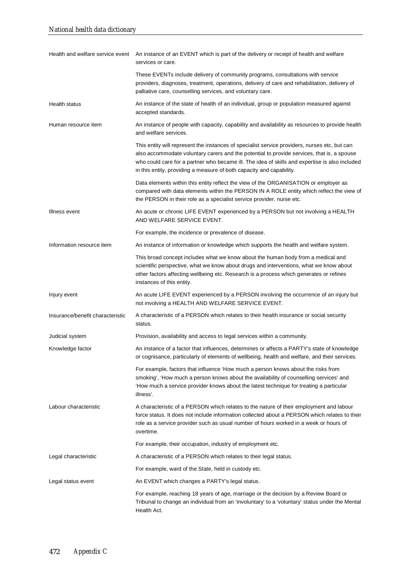| Health and welfare service event | An instance of an EVENT which is part of the delivery or receipt of health and welfare<br>services or care.                                                                                                                                                                                                                                                           |
|----------------------------------|-----------------------------------------------------------------------------------------------------------------------------------------------------------------------------------------------------------------------------------------------------------------------------------------------------------------------------------------------------------------------|
|                                  | These EVENTs include delivery of community programs, consultations with service<br>providers, diagnoses, treatment, operations, delivery of care and rehabilitation, delivery of<br>palliative care, counselling services, and voluntary care.                                                                                                                        |
| Health status                    | An instance of the state of health of an individual, group or population measured against<br>accepted standards.                                                                                                                                                                                                                                                      |
| Human resource item              | An instance of people with capacity, capability and availability as resources to provide health<br>and welfare services.                                                                                                                                                                                                                                              |
|                                  | This entity will represent the instances of specialist service providers, nurses etc, but can<br>also accommodate voluntary carers and the potential to provide services, that is, a spouse<br>who could care for a partner who became ill. The idea of skills and expertise is also included<br>in this entity, providing a measure of both capacity and capability. |
|                                  | Data elements within this entity reflect the view of the ORGANISATION or employer as<br>compared with data elements within the PERSON IN A ROLE entity which reflect the view of<br>the PERSON in their role as a specialist service provider, nurse etc.                                                                                                             |
| Illness event                    | An acute or chronic LIFE EVENT experienced by a PERSON but not involving a HEALTH<br>AND WELFARE SERVICE EVENT.                                                                                                                                                                                                                                                       |
|                                  | For example, the incidence or prevalence of disease.                                                                                                                                                                                                                                                                                                                  |
| Information resource item        | An instance of information or knowledge which supports the health and welfare system.                                                                                                                                                                                                                                                                                 |
|                                  | This broad concept includes what we know about the human body from a medical and<br>scientific perspective, what we know about drugs and interventions, what we know about<br>other factors affecting wellbeing etc. Research is a process which generates or refines<br>instances of this entity.                                                                    |
| Injury event                     | An acute LIFE EVENT experienced by a PERSON involving the occurrence of an injury but<br>not involving a HEALTH AND WELFARE SERVICE EVENT.                                                                                                                                                                                                                            |
| Insurance/benefit characteristic | A characteristic of a PERSON which relates to their health insurance or social security<br>status.                                                                                                                                                                                                                                                                    |
| Judicial system                  | Provision, availability and access to legal services within a community.                                                                                                                                                                                                                                                                                              |
| Knowledge factor                 | An instance of a factor that influences, determines or affects a PARTY's state of knowledge<br>or cognisance, particularly of elements of wellbeing, health and welfare, and their services.                                                                                                                                                                          |
|                                  | For example, factors that influence 'How much a person knows about the risks from<br>smoking', 'How much a person knows about the availability of counselling services' and<br>'How much a service provider knows about the latest technique for treating a particular<br>illness'.                                                                                   |
| Labour characteristic            | A characteristic of a PERSON which relates to the nature of their employment and labour<br>force status. It does not include information collected about a PERSON which relates to their<br>role as a service provider such as usual number of hours worked in a week or hours of<br>overtime.                                                                        |
|                                  | For example, their occupation, industry of employment etc.                                                                                                                                                                                                                                                                                                            |
| Legal characteristic             | A characteristic of a PERSON which relates to their legal status.                                                                                                                                                                                                                                                                                                     |
|                                  | For example, ward of the State, held in custody etc.                                                                                                                                                                                                                                                                                                                  |
| Legal status event               | An EVENT which changes a PARTY's legal status.                                                                                                                                                                                                                                                                                                                        |
|                                  | For example, reaching 18 years of age, marriage or the decision by a Review Board or<br>Tribunal to change an individual from an 'involuntary' to a 'voluntary' status under the Mental<br>Health Act.                                                                                                                                                                |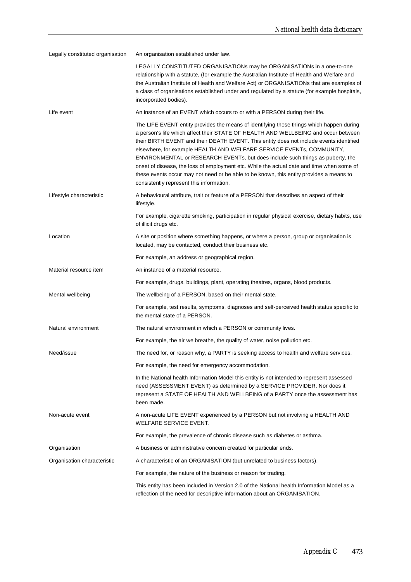| Legally constituted organisation | An organisation established under law.                                                                                                                                                                                                                                                                                                                                                                                                                                                                                                                                                                                                                                  |
|----------------------------------|-------------------------------------------------------------------------------------------------------------------------------------------------------------------------------------------------------------------------------------------------------------------------------------------------------------------------------------------------------------------------------------------------------------------------------------------------------------------------------------------------------------------------------------------------------------------------------------------------------------------------------------------------------------------------|
|                                  | LEGALLY CONSTITUTED ORGANISATIONs may be ORGANISATIONs in a one-to-one<br>relationship with a statute, (for example the Australian Institute of Health and Welfare and<br>the Australian Institute of Health and Welfare Act) or ORGANISATIONs that are examples of<br>a class of organisations established under and regulated by a statute (for example hospitals,<br>incorporated bodies).                                                                                                                                                                                                                                                                           |
| Life event                       | An instance of an EVENT which occurs to or with a PERSON during their life.                                                                                                                                                                                                                                                                                                                                                                                                                                                                                                                                                                                             |
|                                  | The LIFE EVENT entity provides the means of identifying those things which happen during<br>a person's life which affect their STATE OF HEALTH AND WELLBEING and occur between<br>their BIRTH EVENT and their DEATH EVENT. This entity does not include events identified<br>elsewhere, for example HEALTH AND WELFARE SERVICE EVENTs, COMMUNITY,<br>ENVIRONMENTAL or RESEARCH EVENTs, but does include such things as puberty, the<br>onset of disease, the loss of employment etc. While the actual date and time when some of<br>these events occur may not need or be able to be known, this entity provides a means to<br>consistently represent this information. |
| Lifestyle characteristic         | A behavioural attribute, trait or feature of a PERSON that describes an aspect of their<br>lifestyle.                                                                                                                                                                                                                                                                                                                                                                                                                                                                                                                                                                   |
|                                  | For example, cigarette smoking, participation in regular physical exercise, dietary habits, use<br>of illicit drugs etc.                                                                                                                                                                                                                                                                                                                                                                                                                                                                                                                                                |
| Location                         | A site or position where something happens, or where a person, group or organisation is<br>located, may be contacted, conduct their business etc.                                                                                                                                                                                                                                                                                                                                                                                                                                                                                                                       |
|                                  | For example, an address or geographical region.                                                                                                                                                                                                                                                                                                                                                                                                                                                                                                                                                                                                                         |
| Material resource item           | An instance of a material resource.                                                                                                                                                                                                                                                                                                                                                                                                                                                                                                                                                                                                                                     |
|                                  | For example, drugs, buildings, plant, operating theatres, organs, blood products.                                                                                                                                                                                                                                                                                                                                                                                                                                                                                                                                                                                       |
| Mental wellbeing                 | The wellbeing of a PERSON, based on their mental state.                                                                                                                                                                                                                                                                                                                                                                                                                                                                                                                                                                                                                 |
|                                  | For example, test results, symptoms, diagnoses and self-perceived health status specific to<br>the mental state of a PERSON.                                                                                                                                                                                                                                                                                                                                                                                                                                                                                                                                            |
| Natural environment              | The natural environment in which a PERSON or community lives.                                                                                                                                                                                                                                                                                                                                                                                                                                                                                                                                                                                                           |
|                                  | For example, the air we breathe, the quality of water, noise pollution etc.                                                                                                                                                                                                                                                                                                                                                                                                                                                                                                                                                                                             |
| Need/issue                       | The need for, or reason why, a PARTY is seeking access to health and welfare services.                                                                                                                                                                                                                                                                                                                                                                                                                                                                                                                                                                                  |
|                                  | For example, the need for emergency accommodation.                                                                                                                                                                                                                                                                                                                                                                                                                                                                                                                                                                                                                      |
|                                  | In the National health Information Model this entity is not intended to represent assessed<br>need (ASSESSMENT EVENT) as determined by a SERVICE PROVIDER. Nor does it<br>represent a STATE OF HEALTH AND WELLBEING of a PARTY once the assessment has<br>been made.                                                                                                                                                                                                                                                                                                                                                                                                    |
| Non-acute event                  | A non-acute LIFE EVENT experienced by a PERSON but not involving a HEALTH AND<br>WELFARE SERVICE EVENT.                                                                                                                                                                                                                                                                                                                                                                                                                                                                                                                                                                 |
|                                  | For example, the prevalence of chronic disease such as diabetes or asthma.                                                                                                                                                                                                                                                                                                                                                                                                                                                                                                                                                                                              |
| Organisation                     | A business or administrative concern created for particular ends.                                                                                                                                                                                                                                                                                                                                                                                                                                                                                                                                                                                                       |
| Organisation characteristic      | A characteristic of an ORGANISATION (but unrelated to business factors).                                                                                                                                                                                                                                                                                                                                                                                                                                                                                                                                                                                                |
|                                  | For example, the nature of the business or reason for trading.                                                                                                                                                                                                                                                                                                                                                                                                                                                                                                                                                                                                          |
|                                  | This entity has been included in Version 2.0 of the National health Information Model as a<br>reflection of the need for descriptive information about an ORGANISATION.                                                                                                                                                                                                                                                                                                                                                                                                                                                                                                 |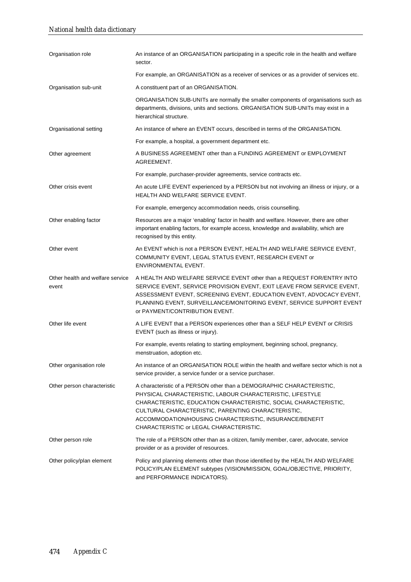| Organisation role                         | An instance of an ORGANISATION participating in a specific role in the health and welfare<br>sector.                                                                                                                                                                                                                                                               |
|-------------------------------------------|--------------------------------------------------------------------------------------------------------------------------------------------------------------------------------------------------------------------------------------------------------------------------------------------------------------------------------------------------------------------|
|                                           | For example, an ORGANISATION as a receiver of services or as a provider of services etc.                                                                                                                                                                                                                                                                           |
| Organisation sub-unit                     | A constituent part of an ORGANISATION.                                                                                                                                                                                                                                                                                                                             |
|                                           | ORGANISATION SUB-UNITs are normally the smaller components of organisations such as<br>departments, divisions, units and sections. ORGANISATION SUB-UNITs may exist in a<br>hierarchical structure.                                                                                                                                                                |
| Organisational setting                    | An instance of where an EVENT occurs, described in terms of the ORGANISATION.                                                                                                                                                                                                                                                                                      |
|                                           | For example, a hospital, a government department etc.                                                                                                                                                                                                                                                                                                              |
| Other agreement                           | A BUSINESS AGREEMENT other than a FUNDING AGREEMENT or EMPLOYMENT<br>AGREEMENT.                                                                                                                                                                                                                                                                                    |
|                                           | For example, purchaser-provider agreements, service contracts etc.                                                                                                                                                                                                                                                                                                 |
| Other crisis event                        | An acute LIFE EVENT experienced by a PERSON but not involving an illness or injury, or a<br>HEALTH AND WELFARE SERVICE EVENT.                                                                                                                                                                                                                                      |
|                                           | For example, emergency accommodation needs, crisis counselling.                                                                                                                                                                                                                                                                                                    |
| Other enabling factor                     | Resources are a major 'enabling' factor in health and welfare. However, there are other<br>important enabling factors, for example access, knowledge and availability, which are<br>recognised by this entity.                                                                                                                                                     |
| Other event                               | An EVENT which is not a PERSON EVENT, HEALTH AND WELFARE SERVICE EVENT,<br>COMMUNITY EVENT, LEGAL STATUS EVENT, RESEARCH EVENT or<br>ENVIRONMENTAL EVENT.                                                                                                                                                                                                          |
| Other health and welfare service<br>event | A HEALTH AND WELFARE SERVICE EVENT other than a REQUEST FOR/ENTRY INTO<br>SERVICE EVENT, SERVICE PROVISION EVENT, EXIT LEAVE FROM SERVICE EVENT,<br>ASSESSMENT EVENT, SCREENING EVENT, EDUCATION EVENT, ADVOCACY EVENT,<br>PLANNING EVENT, SURVEILLANCE/MONITORING EVENT, SERVICE SUPPORT EVENT<br>or PAYMENT/CONTRIBUTION EVENT.                                  |
| Other life event                          | A LIFE EVENT that a PERSON experiences other than a SELF HELP EVENT or CRISIS<br>EVENT (such as illness or injury).                                                                                                                                                                                                                                                |
|                                           | For example, events relating to starting employment, beginning school, pregnancy,<br>menstruation, adoption etc.                                                                                                                                                                                                                                                   |
| Other organisation role                   | An instance of an ORGANISATION ROLE within the health and welfare sector which is not a<br>service provider, a service funder or a service purchaser.                                                                                                                                                                                                              |
| Other person characteristic               | A characteristic of a PERSON other than a DEMOGRAPHIC CHARACTERISTIC,<br>PHYSICAL CHARACTERISTIC, LABOUR CHARACTERISTIC, LIFESTYLE<br>CHARACTERISTIC, EDUCATION CHARACTERISTIC, SOCIAL CHARACTERISTIC,<br>CULTURAL CHARACTERISTIC, PARENTING CHARACTERISTIC,<br>ACCOMMODATION/HOUSING CHARACTERISTIC, INSURANCE/BENEFIT<br>CHARACTERISTIC or LEGAL CHARACTERISTIC. |
| Other person role                         | The role of a PERSON other than as a citizen, family member, carer, advocate, service<br>provider or as a provider of resources.                                                                                                                                                                                                                                   |
| Other policy/plan element                 | Policy and planning elements other than those identified by the HEALTH AND WELFARE<br>POLICY/PLAN ELEMENT subtypes (VISION/MISSION, GOAL/OBJECTIVE, PRIORITY,<br>and PERFORMANCE INDICATORS).                                                                                                                                                                      |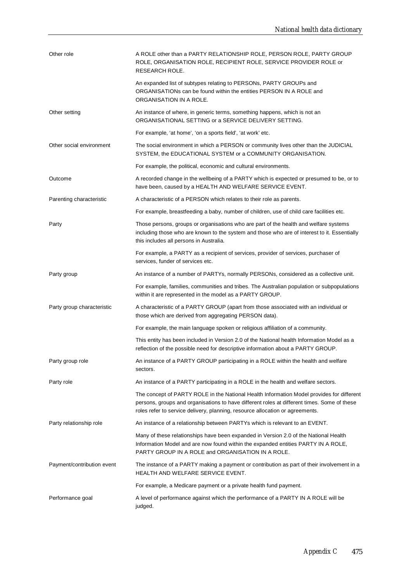| Other role                 | A ROLE other than a PARTY RELATIONSHIP ROLE, PERSON ROLE, PARTY GROUP<br>ROLE, ORGANISATION ROLE, RECIPIENT ROLE, SERVICE PROVIDER ROLE or<br>RESEARCH ROLE.                                                                                                              |
|----------------------------|---------------------------------------------------------------------------------------------------------------------------------------------------------------------------------------------------------------------------------------------------------------------------|
|                            | An expanded list of subtypes relating to PERSONs, PARTY GROUPs and<br>ORGANISATIONs can be found within the entities PERSON IN A ROLE and<br>ORGANISATION IN A ROLE.                                                                                                      |
| Other setting              | An instance of where, in generic terms, something happens, which is not an<br>ORGANISATIONAL SETTING or a SERVICE DELIVERY SETTING.                                                                                                                                       |
|                            | For example, 'at home', 'on a sports field', 'at work' etc.                                                                                                                                                                                                               |
| Other social environment   | The social environment in which a PERSON or community lives other than the JUDICIAL<br>SYSTEM, the EDUCATIONAL SYSTEM or a COMMUNITY ORGANISATION.                                                                                                                        |
|                            | For example, the political, economic and cultural environments.                                                                                                                                                                                                           |
| Outcome                    | A recorded change in the wellbeing of a PARTY which is expected or presumed to be, or to<br>have been, caused by a HEALTH AND WELFARE SERVICE EVENT.                                                                                                                      |
| Parenting characteristic   | A characteristic of a PERSON which relates to their role as parents.                                                                                                                                                                                                      |
|                            | For example, breastfeeding a baby, number of children, use of child care facilities etc.                                                                                                                                                                                  |
| Party                      | Those persons, groups or organisations who are part of the health and welfare systems<br>including those who are known to the system and those who are of interest to it. Essentially<br>this includes all persons in Australia.                                          |
|                            | For example, a PARTY as a recipient of services, provider of services, purchaser of<br>services, funder of services etc.                                                                                                                                                  |
| Party group                | An instance of a number of PARTYs, normally PERSONs, considered as a collective unit.                                                                                                                                                                                     |
|                            | For example, families, communities and tribes. The Australian population or subpopulations<br>within it are represented in the model as a PARTY GROUP.                                                                                                                    |
| Party group characteristic | A characteristic of a PARTY GROUP (apart from those associated with an individual or<br>those which are derived from aggregating PERSON data).                                                                                                                            |
|                            | For example, the main language spoken or religious affiliation of a community.                                                                                                                                                                                            |
|                            | This entity has been included in Version 2.0 of the National health Information Model as a<br>reflection of the possible need for descriptive information about a PARTY GROUP.                                                                                            |
| Party group role           | An instance of a PARTY GROUP participating in a ROLE within the health and welfare<br>sectors.                                                                                                                                                                            |
| Party role                 | An instance of a PARTY participating in a ROLE in the health and welfare sectors.                                                                                                                                                                                         |
|                            | The concept of PARTY ROLE in the National Health Information Model provides for different<br>persons, groups and organisations to have different roles at different times. Some of these<br>roles refer to service delivery, planning, resource allocation or agreements. |
| Party relationship role    | An instance of a relationship between PARTYs which is relevant to an EVENT.                                                                                                                                                                                               |
|                            | Many of these relationships have been expanded in Version 2.0 of the National Health<br>Information Model and are now found within the expanded entities PARTY IN A ROLE,<br>PARTY GROUP IN A ROLE and ORGANISATION IN A ROLE.                                            |
| Payment/contribution event | The instance of a PARTY making a payment or contribution as part of their involvement in a<br>HEALTH AND WELFARE SERVICE EVENT.                                                                                                                                           |
|                            | For example, a Medicare payment or a private health fund payment.                                                                                                                                                                                                         |
| Performance goal           | A level of performance against which the performance of a PARTY IN A ROLE will be<br>judged.                                                                                                                                                                              |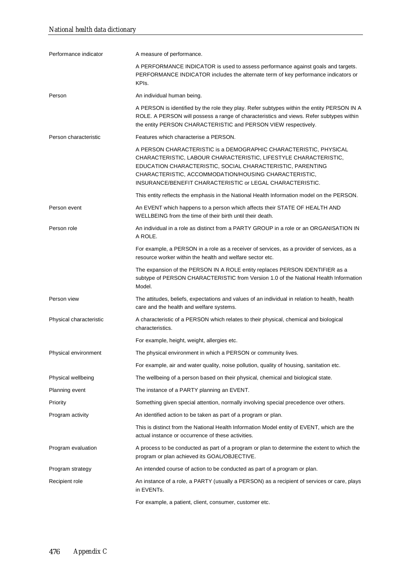| Performance indicator   | A measure of performance.                                                                                                                                                                                                                                                                                                 |
|-------------------------|---------------------------------------------------------------------------------------------------------------------------------------------------------------------------------------------------------------------------------------------------------------------------------------------------------------------------|
|                         | A PERFORMANCE INDICATOR is used to assess performance against goals and targets.<br>PERFORMANCE INDICATOR includes the alternate term of key performance indicators or<br>KPIs.                                                                                                                                           |
| Person                  | An individual human being.                                                                                                                                                                                                                                                                                                |
|                         | A PERSON is identified by the role they play. Refer subtypes within the entity PERSON IN A<br>ROLE. A PERSON will possess a range of characteristics and views. Refer subtypes within<br>the entity PERSON CHARACTERISTIC and PERSON VIEW respectively.                                                                   |
| Person characteristic   | Features which characterise a PERSON.                                                                                                                                                                                                                                                                                     |
|                         | A PERSON CHARACTERISTIC is a DEMOGRAPHIC CHARACTERISTIC, PHYSICAL<br>CHARACTERISTIC, LABOUR CHARACTERISTIC, LIFESTYLE CHARACTERISTIC,<br>EDUCATION CHARACTERISTIC, SOCIAL CHARACTERISTIC, PARENTING<br>CHARACTERISTIC, ACCOMMODATION/HOUSING CHARACTERISTIC,<br>INSURANCE/BENEFIT CHARACTERISTIC or LEGAL CHARACTERISTIC. |
|                         | This entity reflects the emphasis in the National Health Information model on the PERSON.                                                                                                                                                                                                                                 |
| Person event            | An EVENT which happens to a person which affects their STATE OF HEALTH AND<br>WELLBEING from the time of their birth until their death.                                                                                                                                                                                   |
| Person role             | An individual in a role as distinct from a PARTY GROUP in a role or an ORGANISATION IN<br>A ROLE.                                                                                                                                                                                                                         |
|                         | For example, a PERSON in a role as a receiver of services, as a provider of services, as a<br>resource worker within the health and welfare sector etc.                                                                                                                                                                   |
|                         | The expansion of the PERSON IN A ROLE entity replaces PERSON IDENTIFIER as a<br>subtype of PERSON CHARACTERISTIC from Version 1.0 of the National Health Information<br>Model.                                                                                                                                            |
| Person view             | The attitudes, beliefs, expectations and values of an individual in relation to health, health<br>care and the health and welfare systems.                                                                                                                                                                                |
| Physical characteristic | A characteristic of a PERSON which relates to their physical, chemical and biological<br>characteristics.                                                                                                                                                                                                                 |
|                         | For example, height, weight, allergies etc.                                                                                                                                                                                                                                                                               |
| Physical environment    | The physical environment in which a PERSON or community lives.                                                                                                                                                                                                                                                            |
|                         | For example, air and water quality, noise pollution, quality of housing, sanitation etc.                                                                                                                                                                                                                                  |
| Physical wellbeing      | The wellbeing of a person based on their physical, chemical and biological state.                                                                                                                                                                                                                                         |
| Planning event          | The instance of a PARTY planning an EVENT.                                                                                                                                                                                                                                                                                |
| Priority                | Something given special attention, normally involving special precedence over others.                                                                                                                                                                                                                                     |
| Program activity        | An identified action to be taken as part of a program or plan.                                                                                                                                                                                                                                                            |
|                         | This is distinct from the National Health Information Model entity of EVENT, which are the<br>actual instance or occurrence of these activities.                                                                                                                                                                          |
| Program evaluation      | A process to be conducted as part of a program or plan to determine the extent to which the<br>program or plan achieved its GOAL/OBJECTIVE.                                                                                                                                                                               |
| Program strategy        | An intended course of action to be conducted as part of a program or plan.                                                                                                                                                                                                                                                |
| Recipient role          | An instance of a role, a PARTY (usually a PERSON) as a recipient of services or care, plays<br>in EVENTs.                                                                                                                                                                                                                 |
|                         | For example, a patient, client, consumer, customer etc.                                                                                                                                                                                                                                                                   |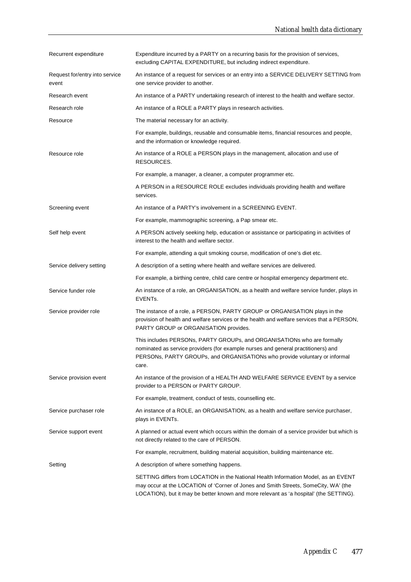| Recurrent expenditure                   | Expenditure incurred by a PARTY on a recurring basis for the provision of services,<br>excluding CAPITAL EXPENDITURE, but including indirect expenditure.                                                                                                            |
|-----------------------------------------|----------------------------------------------------------------------------------------------------------------------------------------------------------------------------------------------------------------------------------------------------------------------|
| Request for/entry into service<br>event | An instance of a request for services or an entry into a SERVICE DELIVERY SETTING from<br>one service provider to another.                                                                                                                                           |
| Research event                          | An instance of a PARTY undertaking research of interest to the health and welfare sector.                                                                                                                                                                            |
| Research role                           | An instance of a ROLE a PARTY plays in research activities.                                                                                                                                                                                                          |
| Resource                                | The material necessary for an activity.                                                                                                                                                                                                                              |
|                                         | For example, buildings, reusable and consumable items, financial resources and people,<br>and the information or knowledge required.                                                                                                                                 |
| Resource role                           | An instance of a ROLE a PERSON plays in the management, allocation and use of<br>RESOURCES.                                                                                                                                                                          |
|                                         | For example, a manager, a cleaner, a computer programmer etc.                                                                                                                                                                                                        |
|                                         | A PERSON in a RESOURCE ROLE excludes individuals providing health and welfare<br>services.                                                                                                                                                                           |
| Screening event                         | An instance of a PARTY's involvement in a SCREENING EVENT.                                                                                                                                                                                                           |
|                                         | For example, mammographic screening, a Pap smear etc.                                                                                                                                                                                                                |
| Self help event                         | A PERSON actively seeking help, education or assistance or participating in activities of<br>interest to the health and welfare sector.                                                                                                                              |
|                                         | For example, attending a quit smoking course, modification of one's diet etc.                                                                                                                                                                                        |
| Service delivery setting                | A description of a setting where health and welfare services are delivered.                                                                                                                                                                                          |
|                                         | For example, a birthing centre, child care centre or hospital emergency department etc.                                                                                                                                                                              |
| Service funder role                     | An instance of a role, an ORGANISATION, as a health and welfare service funder, plays in<br>EVENTs.                                                                                                                                                                  |
| Service provider role                   | The instance of a role, a PERSON, PARTY GROUP or ORGANISATION plays in the<br>provision of health and welfare services or the health and welfare services that a PERSON,<br>PARTY GROUP or ORGANISATION provides.                                                    |
|                                         | This includes PERSONs, PARTY GROUPs, and ORGANISATIONs who are formally<br>nominated as service providers (for example nurses and general practitioners) and<br>PERSONs, PARTY GROUPs, and ORGANISATIONs who provide voluntary or informal<br>care.                  |
| Service provision event                 | An instance of the provision of a HEALTH AND WELFARE SERVICE EVENT by a service<br>provider to a PERSON or PARTY GROUP.                                                                                                                                              |
|                                         | For example, treatment, conduct of tests, counselling etc.                                                                                                                                                                                                           |
| Service purchaser role                  | An instance of a ROLE, an ORGANISATION, as a health and welfare service purchaser,<br>plays in EVENTs.                                                                                                                                                               |
| Service support event                   | A planned or actual event which occurs within the domain of a service provider but which is<br>not directly related to the care of PERSON.                                                                                                                           |
|                                         | For example, recruitment, building material acquisition, building maintenance etc.                                                                                                                                                                                   |
| Setting                                 | A description of where something happens.                                                                                                                                                                                                                            |
|                                         | SETTING differs from LOCATION in the National Health Information Model, as an EVENT<br>may occur at the LOCATION of 'Corner of Jones and Smith Streets, SomeCity, WA' (the<br>LOCATION), but it may be better known and more relevant as 'a hospital' (the SETTING). |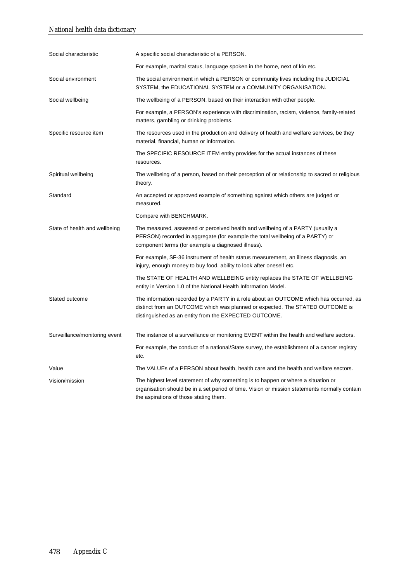| Social characteristic         |                                                                                                                                                                                                                                 |
|-------------------------------|---------------------------------------------------------------------------------------------------------------------------------------------------------------------------------------------------------------------------------|
|                               | A specific social characteristic of a PERSON.                                                                                                                                                                                   |
|                               | For example, marital status, language spoken in the home, next of kin etc.                                                                                                                                                      |
| Social environment            | The social environment in which a PERSON or community lives including the JUDICIAL<br>SYSTEM, the EDUCATIONAL SYSTEM or a COMMUNITY ORGANISATION.                                                                               |
| Social wellbeing              | The wellbeing of a PERSON, based on their interaction with other people.                                                                                                                                                        |
|                               | For example, a PERSON's experience with discrimination, racism, violence, family-related<br>matters, gambling or drinking problems.                                                                                             |
| Specific resource item        | The resources used in the production and delivery of health and welfare services, be they<br>material, financial, human or information.                                                                                         |
|                               | The SPECIFIC RESOURCE ITEM entity provides for the actual instances of these<br>resources.                                                                                                                                      |
| Spiritual wellbeing           | The wellbeing of a person, based on their perception of or relationship to sacred or religious<br>theory.                                                                                                                       |
| Standard                      | An accepted or approved example of something against which others are judged or<br>measured.                                                                                                                                    |
|                               | Compare with BENCHMARK.                                                                                                                                                                                                         |
| State of health and wellbeing | The measured, assessed or perceived health and wellbeing of a PARTY (usually a<br>PERSON) recorded in aggregate (for example the total wellbeing of a PARTY) or<br>component terms (for example a diagnosed illness).           |
|                               | For example, SF-36 instrument of health status measurement, an illness diagnosis, an<br>injury, enough money to buy food, ability to look after oneself etc.                                                                    |
|                               | The STATE OF HEALTH AND WELLBEING entity replaces the STATE OF WELLBEING<br>entity in Version 1.0 of the National Health Information Model.                                                                                     |
| Stated outcome                | The information recorded by a PARTY in a role about an OUTCOME which has occurred, as<br>distinct from an OUTCOME which was planned or expected. The STATED OUTCOME is<br>distinguished as an entity from the EXPECTED OUTCOME. |
| Surveillance/monitoring event | The instance of a surveillance or monitoring EVENT within the health and welfare sectors.                                                                                                                                       |
|                               | For example, the conduct of a national/State survey, the establishment of a cancer registry<br>etc.                                                                                                                             |
| Value                         | The VALUEs of a PERSON about health, health care and the health and welfare sectors.                                                                                                                                            |
| Vision/mission                | The highest level statement of why something is to happen or where a situation or<br>organisation should be in a set period of time. Vision or mission statements normally contain<br>the aspirations of those stating them.    |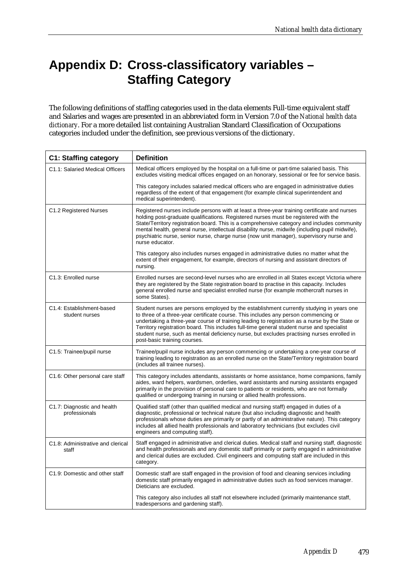# **Appendix D: Cross-classificatory variables – Staffing Category**

The following definitions of staffing categories used in the data elements Full-time equivalent staff and Salaries and wages are presented in an abbreviated form in Version 7.0 of the *National health data dictionary*. For a more detailed list containing Australian Standard Classification of Occupations categories included under the definition, see previous versions of the dictionary.

| <b>C1: Staffing category</b>                 | <b>Definition</b>                                                                                                                                                                                                                                                                                                                                                                                                                                                                                             |
|----------------------------------------------|---------------------------------------------------------------------------------------------------------------------------------------------------------------------------------------------------------------------------------------------------------------------------------------------------------------------------------------------------------------------------------------------------------------------------------------------------------------------------------------------------------------|
| C1.1: Salaried Medical Officers              | Medical officers employed by the hospital on a full-time or part-time salaried basis. This<br>excludes visiting medical offices engaged on an honorary, sessional or fee for service basis.                                                                                                                                                                                                                                                                                                                   |
|                                              | This category includes salaried medical officers who are engaged in administrative duties<br>regardless of the extent of that engagement (for example clinical superintendent and<br>medical superintendent).                                                                                                                                                                                                                                                                                                 |
| C1.2 Registered Nurses                       | Registered nurses include persons with at least a three-year training certificate and nurses<br>holding post-graduate qualifications. Registered nurses must be registered with the<br>State/Territory registration board. This is a comprehensive category and includes community<br>mental health, general nurse, intellectual disability nurse, midwife (including pupil midwife),<br>psychiatric nurse, senior nurse, charge nurse (now unit manager), supervisory nurse and<br>nurse educator.           |
|                                              | This category also includes nurses engaged in administrative duties no matter what the<br>extent of their engagement, for example, directors of nursing and assistant directors of<br>nursing.                                                                                                                                                                                                                                                                                                                |
| C1.3: Enrolled nurse                         | Enrolled nurses are second-level nurses who are enrolled in all States except Victoria where<br>they are registered by the State registration board to practise in this capacity. Includes<br>general enrolled nurse and specialist enrolled nurse (for example mothercraft nurses in<br>some States).                                                                                                                                                                                                        |
| C1.4: Establishment-based<br>student nurses  | Student nurses are persons employed by the establishment currently studying in years one<br>to three of a three-year certificate course. This includes any person commencing or<br>undertaking a three-year course of training leading to registration as a nurse by the State or<br>Territory registration board. This includes full-time general student nurse and specialist<br>student nurse, such as mental deficiency nurse, but excludes practising nurses enrolled in<br>post-basic training courses. |
| C1.5: Trainee/pupil nurse                    | Trainee/pupil nurse includes any person commencing or undertaking a one-year course of<br>training leading to registration as an enrolled nurse on the State/Territory registration board<br>(includes all trainee nurses).                                                                                                                                                                                                                                                                                   |
| C1.6: Other personal care staff              | This category includes attendants, assistants or home assistance, home companions, family<br>aides, ward helpers, wardsmen, orderlies, ward assistants and nursing assistants engaged<br>primarily in the provision of personal care to patients or residents, who are not formally<br>qualified or undergoing training in nursing or allied health professions.                                                                                                                                              |
| C1.7: Diagnostic and health<br>professionals | Qualified staff (other than qualified medical and nursing staff) engaged in duties of a<br>diagnostic, professional or technical nature (but also including diagnostic and health<br>professionals whose duties are primarily or partly of an administrative nature). This category<br>includes all allied health professionals and laboratory technicians (but excludes civil<br>engineers and computing staff).                                                                                             |
| C1.8: Administrative and clerical<br>staff   | Staff engaged in administrative and clerical duties. Medical staff and nursing staff, diagnostic<br>and health professionals and any domestic staff primarily or partly engaged in administrative<br>and clerical duties are excluded. Civil engineers and computing staff are included in this<br>category.                                                                                                                                                                                                  |
| C1.9: Domestic and other staff               | Domestic staff are staff engaged in the provision of food and cleaning services including<br>domestic staff primarily engaged in administrative duties such as food services manager.<br>Dieticians are excluded.                                                                                                                                                                                                                                                                                             |
|                                              | This category also includes all staff not elsewhere included (primarily maintenance staff,<br>tradespersons and gardening staff).                                                                                                                                                                                                                                                                                                                                                                             |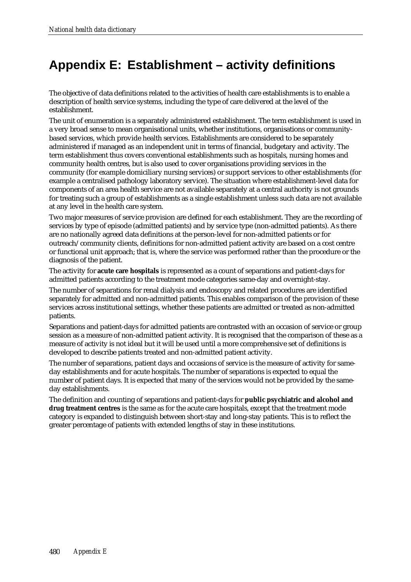### **Appendix E: Establishment – activity definitions**

The objective of data definitions related to the activities of health care establishments is to enable a description of health service systems, including the type of care delivered at the level of the establishment.

The unit of enumeration is a separately administered establishment. The term establishment is used in a very broad sense to mean organisational units, whether institutions, organisations or communitybased services, which provide health services. Establishments are considered to be separately administered if managed as an independent unit in terms of financial, budgetary and activity. The term establishment thus covers conventional establishments such as hospitals, nursing homes and community health centres, but is also used to cover organisations providing services in the community (for example domiciliary nursing services) or support services to other establishments (for example a centralised pathology laboratory service). The situation where establishment-level data for components of an area health service are not available separately at a central authority is not grounds for treating such a group of establishments as a single establishment unless such data are not available at any level in the health care system.

Two major measures of service provision are defined for each establishment. They are the recording of services by type of episode (admitted patients) and by service type (non-admitted patients). As there are no nationally agreed data definitions at the person-level for non-admitted patients or for outreach/community clients, definitions for non-admitted patient activity are based on a cost centre or functional unit approach; that is, where the service was performed rather than the procedure or the diagnosis of the patient.

The activity for **acute care hospitals** is represented as a count of separations and patient-days for admitted patients according to the treatment mode categories same-day and overnight-stay.

The number of separations for renal dialysis and endoscopy and related procedures are identified separately for admitted and non-admitted patients. This enables comparison of the provision of these services across institutional settings, whether these patients are admitted or treated as non-admitted patients.

Separations and patient-days for admitted patients are contrasted with an occasion of service or group session as a measure of non-admitted patient activity. It is recognised that the comparison of these as a measure of activity is not ideal but it will be used until a more comprehensive set of definitions is developed to describe patients treated and non-admitted patient activity.

The number of separations, patient days and occasions of service is the measure of activity for sameday establishments and for acute hospitals. The number of separations is expected to equal the number of patient days. It is expected that many of the services would not be provided by the sameday establishments.

The definition and counting of separations and patient-days for **public psychiatric and alcohol and drug treatment centres** is the same as for the acute care hospitals, except that the treatment mode category is expanded to distinguish between short-stay and long-stay patients. This is to reflect the greater percentage of patients with extended lengths of stay in these institutions.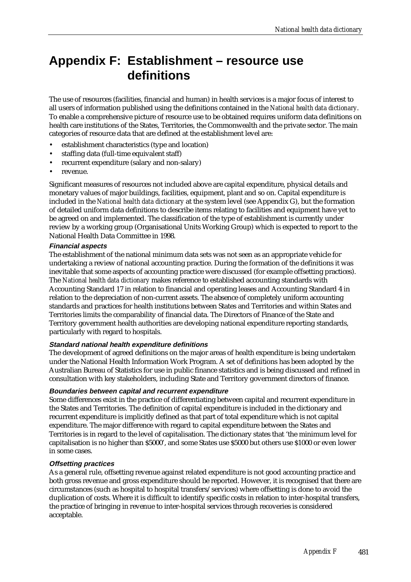### **Appendix F: Establishment – resource use definitions**

The use of resources (facilities, financial and human) in health services is a major focus of interest to all users of information published using the definitions contained in the *National health data dictionary*. To enable a comprehensive picture of resource use to be obtained requires uniform data definitions on health care institutions of the States. Territories, the Commonwealth and the private sector. The main categories of resource data that are defined at the establishment level are:

- establishment characteristics (type and location)
- staffing data (full-time equivalent staff)
- recurrent expenditure (salary and non-salary)
- revenue.

Significant measures of resources not included above are capital expenditure, physical details and monetary values of major buildings, facilities, equipment, plant and so on. Capital expenditure is included in the *National health data dictionary* at the system level (see Appendix G), but the formation of detailed uniform data definitions to describe items relating to facilities and equipment have yet to be agreed on and implemented. The classification of the type of establishment is currently under review by a working group (Organisational Units Working Group) which is expected to report to the National Health Data Committee in 1998.

#### **Financial aspects**

The establishment of the national minimum data sets was not seen as an appropriate vehicle for undertaking a review of national accounting practice. During the formation of the definitions it was inevitable that some aspects of accounting practice were discussed (for example offsetting practices). The *National health data dictionary* makes reference to established accounting standards with Accounting Standard 17 in relation to financial and operating leases and Accounting Standard 4 in relation to the depreciation of non-current assets. The absence of completely uniform accounting standards and practices for health institutions between States and Territories and within States and Territories limits the comparability of financial data. The Directors of Finance of the State and Territory government health authorities are developing national expenditure reporting standards, particularly with regard to hospitals.

#### **Standard national health expenditure definitions**

The development of agreed definitions on the major areas of health expenditure is being undertaken under the National Health Information Work Program. A set of definitions has been adopted by the Australian Bureau of Statistics for use in public finance statistics and is being discussed and refined in consultation with key stakeholders, including State and Territory government directors of finance.

#### **Boundaries between capital and recurrent expenditure**

Some differences exist in the practice of differentiating between capital and recurrent expenditure in the States and Territories. The definition of capital expenditure is included in the dictionary and recurrent expenditure is implicitly defined as that part of total expenditure which is not capital expenditure. The major difference with regard to capital expenditure between the States and Territories is in regard to the level of capitalisation. The dictionary states that 'the minimum level for capitalisation is no higher than \$5000', and some States use \$5000 but others use \$1000 or even lower in some cases.

#### **Offsetting practices**

As a general rule, offsetting revenue against related expenditure is not good accounting practice and both gross revenue and gross expenditure should be reported. However, it is recognised that there are circumstances (such as hospital to hospital transfers/services) where offsetting is done to avoid the duplication of costs. Where it is difficult to identify specific costs in relation to inter-hospital transfers, the practice of bringing in revenue to inter-hospital services through recoveries is considered acceptable.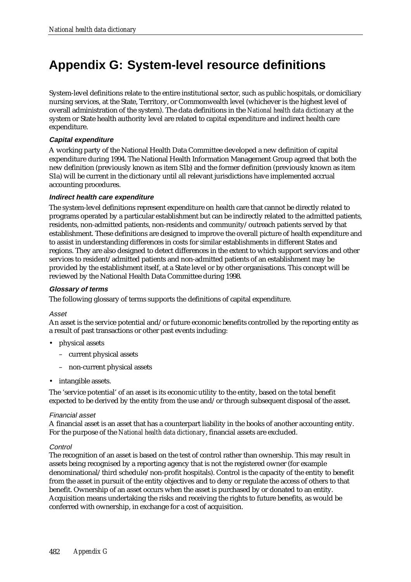# **Appendix G: System-level resource definitions**

System-level definitions relate to the entire institutional sector, such as public hospitals, or domiciliary nursing services, at the State, Territory, or Commonwealth level (whichever is the highest level of overall administration of the system). The data definitions in the *National health data dictionary* at the system or State health authority level are related to capital expenditure and indirect health care expenditure.

#### **Capital expenditure**

A working party of the National Health Data Committee developed a new definition of capital expenditure during 1994. The National Health Information Management Group agreed that both the new definition (previously known as item S1b) and the former definition (previously known as item S1a) will be current in the dictionary until all relevant jurisdictions have implemented accrual accounting procedures.

#### **Indirect health care expenditure**

The system-level definitions represent expenditure on health care that cannot be directly related to programs operated by a particular establishment but can be indirectly related to the admitted patients, residents, non-admitted patients, non-residents and community/outreach patients served by that establishment. These definitions are designed to improve the overall picture of health expenditure and to assist in understanding differences in costs for similar establishments in different States and regions. They are also designed to detect differences in the extent to which support services and other services to resident/admitted patients and non-admitted patients of an establishment may be provided by the establishment itself, at a State level or by other organisations. This concept will be reviewed by the National Health Data Committee during 1998.

#### **Glossary of terms**

The following glossary of terms supports the definitions of capital expenditure.

#### Asset

An asset is the service potential and/or future economic benefits controlled by the reporting entity as a result of past transactions or other past events including:

- physical assets
	- current physical assets
	- non-current physical assets
- intangible assets.

The 'service potential' of an asset is its economic utility to the entity, based on the total benefit expected to be derived by the entity from the use and/or through subsequent disposal of the asset.

#### Financial asset

A financial asset is an asset that has a counterpart liability in the books of another accounting entity. For the purpose of the *National health data dictionary*, financial assets are excluded.

#### **Control**

The recognition of an asset is based on the test of control rather than ownership. This may result in assets being recognised by a reporting agency that is not the registered owner (for example denominational/third schedule/non-profit hospitals). Control is the capacity of the entity to benefit from the asset in pursuit of the entity objectives and to deny or regulate the access of others to that benefit. Ownership of an asset occurs when the asset is purchased by or donated to an entity. Acquisition means undertaking the risks and receiving the rights to future benefits, as would be conferred with ownership, in exchange for a cost of acquisition.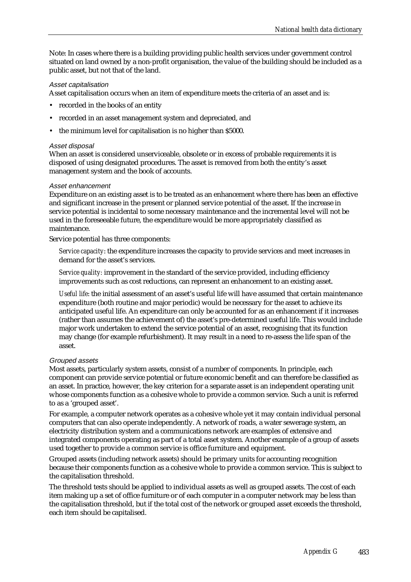Note: In cases where there is a building providing public health services under government control situated on land owned by a non-profit organisation, the value of the building should be included as a public asset, but not that of the land.

#### Asset capitalisation

Asset capitalisation occurs when an item of expenditure meets the criteria of an asset and is:

- recorded in the books of an entity
- recorded in an asset management system and depreciated, and
- the minimum level for capitalisation is no higher than \$5000.

#### Asset disposal

When an asset is considered unserviceable, obsolete or in excess of probable requirements it is disposed of using designated procedures. The asset is removed from both the entity's asset management system and the book of accounts.

#### Asset enhancement

Expenditure on an existing asset is to be treated as an enhancement where there has been an effective and significant increase in the present or planned service potential of the asset. If the increase in service potential is incidental to some necessary maintenance and the incremental level will not be used in the foreseeable future, the expenditure would be more appropriately classified as maintenance.

Service potential has three components:

*Service capacity*: the expenditure increases the capacity to provide services and meet increases in demand for the asset's services.

*Service quality:* improvement in the standard of the service provided, including efficiency improvements such as cost reductions, can represent an enhancement to an existing asset.

*Useful life*: the initial assessment of an asset's useful life will have assumed that certain maintenance expenditure (both routine and major periodic) would be necessary for the asset to achieve its anticipated useful life. An expenditure can only be accounted for as an enhancement if it increases (rather than assumes the achievement of) the asset's pre-determined useful life. This would include major work undertaken to extend the service potential of an asset, recognising that its function may change (for example refurbishment). It may result in a need to re-assess the life span of the asset.

#### Grouped assets

Most assets, particularly system assets, consist of a number of components. In principle, each component can provide service potential or future economic benefit and can therefore be classified as an asset. In practice, however, the key criterion for a separate asset is an independent operating unit whose components function as a cohesive whole to provide a common service. Such a unit is referred to as a 'grouped asset'.

For example, a computer network operates as a cohesive whole yet it may contain individual personal computers that can also operate independently. A network of roads, a water sewerage system, an electricity distribution system and a communications network are examples of extensive and integrated components operating as part of a total asset system. Another example of a group of assets used together to provide a common service is office furniture and equipment.

Grouped assets (including network assets) should be primary units for accounting recognition because their components function as a cohesive whole to provide a common service. This is subject to the capitalisation threshold.

The threshold tests should be applied to individual assets as well as grouped assets. The cost of each item making up a set of office furniture or of each computer in a computer network may be less than the capitalisation threshold, but if the total cost of the network or grouped asset exceeds the threshold, each item should be capitalised.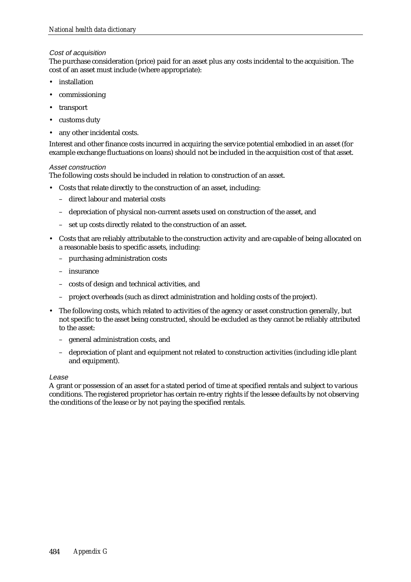#### Cost of acquisition

The purchase consideration (price) paid for an asset plus any costs incidental to the acquisition. The cost of an asset must include (where appropriate):

- installation
- commissioning
- transport
- customs duty
- any other incidental costs.

Interest and other finance costs incurred in acquiring the service potential embodied in an asset (for example exchange fluctuations on loans) should not be included in the acquisition cost of that asset.

#### Asset construction

The following costs should be included in relation to construction of an asset.

- Costs that relate directly to the construction of an asset, including:
	- direct labour and material costs
	- depreciation of physical non-current assets used on construction of the asset, and
	- set up costs directly related to the construction of an asset.
- Costs that are reliably attributable to the construction activity and are capable of being allocated on a reasonable basis to specific assets, including:
	- purchasing administration costs
	- insurance
	- costs of design and technical activities, and
	- project overheads (such as direct administration and holding costs of the project).
- The following costs, which related to activities of the agency or asset construction generally, but not specific to the asset being constructed, should be excluded as they cannot be reliably attributed to the asset:
	- general administration costs, and
	- depreciation of plant and equipment not related to construction activities (including idle plant and equipment).

#### Lease

A grant or possession of an asset for a stated period of time at specified rentals and subject to various conditions. The registered proprietor has certain re-entry rights if the lessee defaults by not observing the conditions of the lease or by not paying the specified rentals.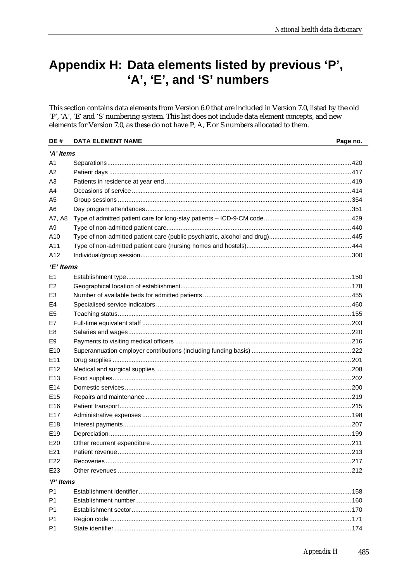### Appendix H: Data elements listed by previous 'P', 'A', 'E', and 'S' numbers

This section contains data elements from Version 6.0 that are included in Version 7.0, listed by the old 'P', 'A', 'E' and 'S' numbering system. This list does not include data element concepts, and new elements for Version 7.0, as these do not have P, A, E or S numbers allocated to them.

| DE#             | <b>DATA ELEMENT NAME</b> | Page no. |  |  |
|-----------------|--------------------------|----------|--|--|
|                 | 'A' Items                |          |  |  |
| A1              |                          |          |  |  |
| A2              |                          |          |  |  |
| A3              |                          |          |  |  |
| A4              |                          |          |  |  |
| A <sub>5</sub>  |                          |          |  |  |
| A6              |                          |          |  |  |
| A7, A8          |                          |          |  |  |
| A <sub>9</sub>  |                          |          |  |  |
| A10             |                          |          |  |  |
| A11             |                          |          |  |  |
| A12             |                          |          |  |  |
| 'E' Items       |                          |          |  |  |
| E <sub>1</sub>  |                          |          |  |  |
| E <sub>2</sub>  |                          |          |  |  |
| E3              |                          |          |  |  |
| E4              |                          |          |  |  |
| E <sub>5</sub>  |                          |          |  |  |
| E7              |                          |          |  |  |
| E8              |                          |          |  |  |
| E9              |                          |          |  |  |
| E <sub>10</sub> |                          |          |  |  |
| E11             |                          |          |  |  |
| E <sub>12</sub> |                          |          |  |  |
| E <sub>13</sub> |                          |          |  |  |
| E <sub>14</sub> |                          |          |  |  |
| E <sub>15</sub> |                          |          |  |  |
| E <sub>16</sub> |                          |          |  |  |
| E <sub>17</sub> |                          |          |  |  |
| E <sub>18</sub> |                          |          |  |  |
| E <sub>19</sub> |                          |          |  |  |
| E <sub>20</sub> |                          |          |  |  |
| E21             |                          |          |  |  |
| E <sub>22</sub> |                          |          |  |  |
| E23             |                          |          |  |  |
| 'P' Items       |                          |          |  |  |
| P <sub>1</sub>  |                          |          |  |  |
| P <sub>1</sub>  |                          |          |  |  |
| P <sub>1</sub>  |                          |          |  |  |
| P <sub>1</sub>  |                          |          |  |  |
| P1              |                          |          |  |  |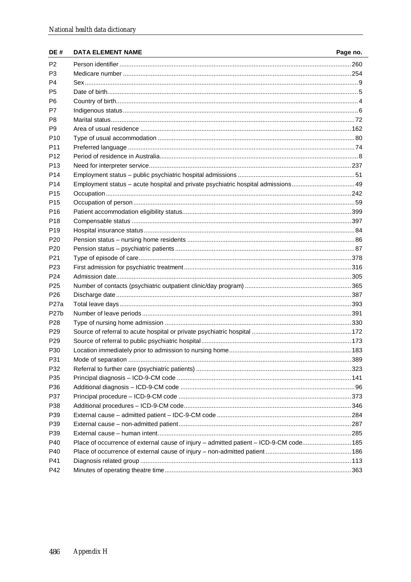| DE#               | <b>DATA ELEMENT NAME</b>                                                               | Page no. |
|-------------------|----------------------------------------------------------------------------------------|----------|
| P <sub>2</sub>    |                                                                                        |          |
| P <sub>3</sub>    |                                                                                        |          |
| P4                |                                                                                        |          |
| P5                |                                                                                        |          |
| P6                |                                                                                        |          |
| P7                |                                                                                        |          |
| P8                |                                                                                        |          |
| P9.               |                                                                                        |          |
| P <sub>10</sub>   |                                                                                        |          |
| P <sub>11</sub>   |                                                                                        |          |
| P <sub>12</sub>   |                                                                                        |          |
| P <sub>13</sub>   |                                                                                        |          |
| P <sub>14</sub>   |                                                                                        |          |
| P <sub>14</sub>   |                                                                                        |          |
| P <sub>15</sub>   |                                                                                        |          |
| P <sub>15</sub>   |                                                                                        |          |
| P <sub>16</sub>   |                                                                                        |          |
| P <sub>18</sub>   |                                                                                        |          |
| P <sub>19</sub>   |                                                                                        |          |
| P <sub>20</sub>   |                                                                                        |          |
| P <sub>20</sub>   |                                                                                        |          |
| P <sub>21</sub>   |                                                                                        |          |
| P <sub>23</sub>   |                                                                                        |          |
| P <sub>24</sub>   |                                                                                        |          |
| P <sub>25</sub>   |                                                                                        |          |
| P <sub>26</sub>   |                                                                                        |          |
| P <sub>27</sub> a |                                                                                        |          |
| P <sub>27</sub> b |                                                                                        |          |
| P <sub>28</sub>   |                                                                                        |          |
| P <sub>29</sub>   |                                                                                        |          |
| P <sub>29</sub>   |                                                                                        |          |
| P30               |                                                                                        |          |
| P31               |                                                                                        |          |
| P32               |                                                                                        |          |
| P35               |                                                                                        |          |
| P36               |                                                                                        |          |
| P37               |                                                                                        |          |
| P38               |                                                                                        |          |
| P39               |                                                                                        |          |
| P39               |                                                                                        |          |
| P39               |                                                                                        |          |
| P40               | Place of occurrence of external cause of injury - admitted patient - ICD-9-CM code 185 |          |
| P40               |                                                                                        |          |
| P41               |                                                                                        |          |
| P42               |                                                                                        |          |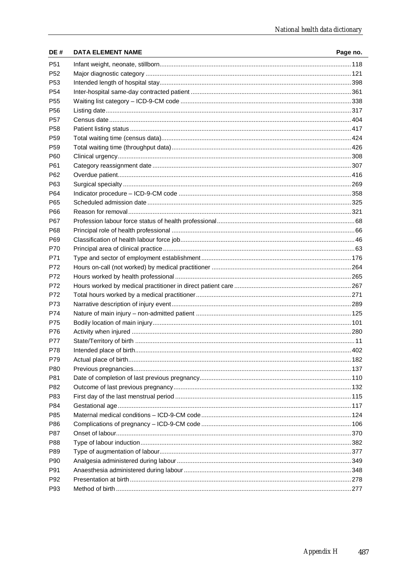| P <sub>51</sub><br>P <sub>52</sub><br>P <sub>53</sub><br>P <sub>54</sub><br>P <sub>55</sub><br>P <sub>56</sub><br>P <sub>57</sub><br>P <sub>58</sub><br>P <sub>59</sub><br>P <sub>59</sub><br>P60<br>P61<br>P62<br>P63<br>P64<br>P65<br>P66<br>P67<br>P68<br>P69<br>P70<br>P71<br>P72<br>P72<br>P72<br>P72<br>P73<br>P74<br>P75 | Page no. |
|---------------------------------------------------------------------------------------------------------------------------------------------------------------------------------------------------------------------------------------------------------------------------------------------------------------------------------|----------|
|                                                                                                                                                                                                                                                                                                                                 |          |
|                                                                                                                                                                                                                                                                                                                                 |          |
|                                                                                                                                                                                                                                                                                                                                 |          |
|                                                                                                                                                                                                                                                                                                                                 |          |
|                                                                                                                                                                                                                                                                                                                                 |          |
|                                                                                                                                                                                                                                                                                                                                 |          |
|                                                                                                                                                                                                                                                                                                                                 |          |
|                                                                                                                                                                                                                                                                                                                                 |          |
|                                                                                                                                                                                                                                                                                                                                 |          |
|                                                                                                                                                                                                                                                                                                                                 |          |
|                                                                                                                                                                                                                                                                                                                                 |          |
|                                                                                                                                                                                                                                                                                                                                 |          |
|                                                                                                                                                                                                                                                                                                                                 |          |
|                                                                                                                                                                                                                                                                                                                                 |          |
|                                                                                                                                                                                                                                                                                                                                 |          |
|                                                                                                                                                                                                                                                                                                                                 |          |
|                                                                                                                                                                                                                                                                                                                                 |          |
|                                                                                                                                                                                                                                                                                                                                 |          |
|                                                                                                                                                                                                                                                                                                                                 |          |
|                                                                                                                                                                                                                                                                                                                                 |          |
|                                                                                                                                                                                                                                                                                                                                 |          |
|                                                                                                                                                                                                                                                                                                                                 |          |
|                                                                                                                                                                                                                                                                                                                                 |          |
|                                                                                                                                                                                                                                                                                                                                 |          |
|                                                                                                                                                                                                                                                                                                                                 |          |
|                                                                                                                                                                                                                                                                                                                                 |          |
|                                                                                                                                                                                                                                                                                                                                 |          |
|                                                                                                                                                                                                                                                                                                                                 |          |
|                                                                                                                                                                                                                                                                                                                                 |          |
| P76                                                                                                                                                                                                                                                                                                                             |          |
| P77                                                                                                                                                                                                                                                                                                                             |          |
| P78                                                                                                                                                                                                                                                                                                                             |          |
| P79                                                                                                                                                                                                                                                                                                                             |          |
| P80                                                                                                                                                                                                                                                                                                                             |          |
| P81                                                                                                                                                                                                                                                                                                                             |          |
| P82                                                                                                                                                                                                                                                                                                                             |          |
| P83                                                                                                                                                                                                                                                                                                                             |          |
| P84                                                                                                                                                                                                                                                                                                                             |          |
| P85                                                                                                                                                                                                                                                                                                                             |          |
| P86                                                                                                                                                                                                                                                                                                                             |          |
| P87                                                                                                                                                                                                                                                                                                                             |          |
| P88                                                                                                                                                                                                                                                                                                                             |          |
| P89                                                                                                                                                                                                                                                                                                                             |          |
| P90                                                                                                                                                                                                                                                                                                                             |          |
| P91                                                                                                                                                                                                                                                                                                                             |          |
| P <sub>92</sub>                                                                                                                                                                                                                                                                                                                 |          |
| P93                                                                                                                                                                                                                                                                                                                             |          |